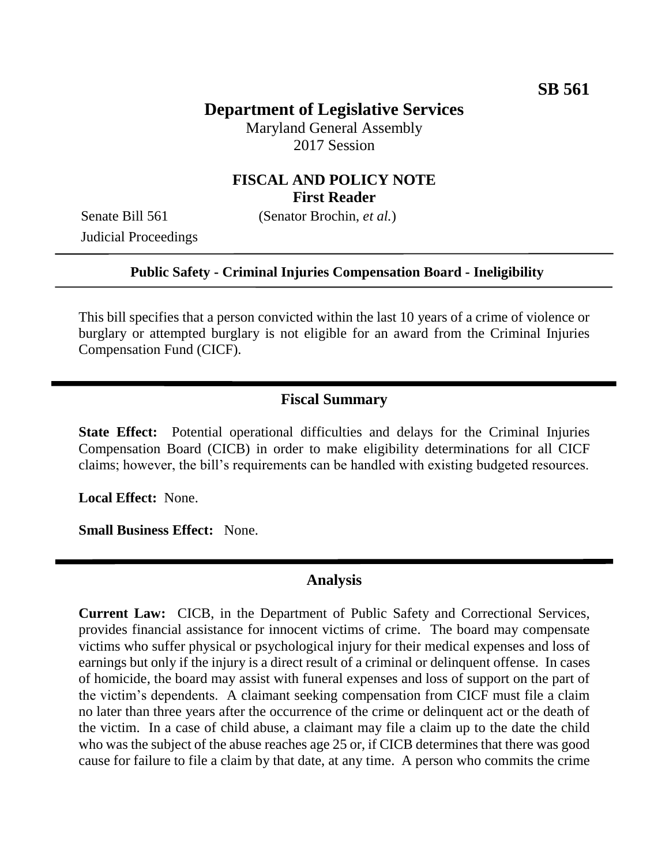# **Department of Legislative Services**

Maryland General Assembly 2017 Session

## **FISCAL AND POLICY NOTE First Reader**

Judicial Proceedings

Senate Bill 561 (Senator Brochin, *et al.*)

#### **Public Safety - Criminal Injuries Compensation Board - Ineligibility**

This bill specifies that a person convicted within the last 10 years of a crime of violence or burglary or attempted burglary is not eligible for an award from the Criminal Injuries Compensation Fund (CICF).

### **Fiscal Summary**

**State Effect:** Potential operational difficulties and delays for the Criminal Injuries Compensation Board (CICB) in order to make eligibility determinations for all CICF claims; however, the bill's requirements can be handled with existing budgeted resources.

**Local Effect:** None.

**Small Business Effect:** None.

# **Analysis**

**Current Law:** CICB, in the Department of Public Safety and Correctional Services, provides financial assistance for innocent victims of crime. The board may compensate victims who suffer physical or psychological injury for their medical expenses and loss of earnings but only if the injury is a direct result of a criminal or delinquent offense. In cases of homicide, the board may assist with funeral expenses and loss of support on the part of the victim's dependents. A claimant seeking compensation from CICF must file a claim no later than three years after the occurrence of the crime or delinquent act or the death of the victim. In a case of child abuse, a claimant may file a claim up to the date the child who was the subject of the abuse reaches age 25 or, if CICB determines that there was good cause for failure to file a claim by that date, at any time. A person who commits the crime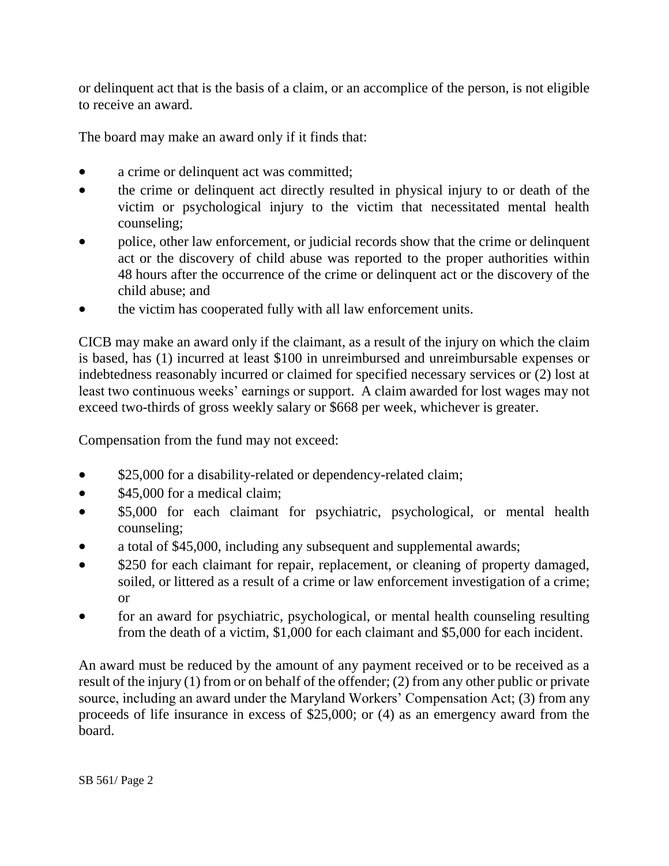or delinquent act that is the basis of a claim, or an accomplice of the person, is not eligible to receive an award.

The board may make an award only if it finds that:

- a crime or delinquent act was committed;
- the crime or delinquent act directly resulted in physical injury to or death of the victim or psychological injury to the victim that necessitated mental health counseling;
- police, other law enforcement, or judicial records show that the crime or delinquent act or the discovery of child abuse was reported to the proper authorities within 48 hours after the occurrence of the crime or delinquent act or the discovery of the child abuse; and
- the victim has cooperated fully with all law enforcement units.

CICB may make an award only if the claimant, as a result of the injury on which the claim is based, has (1) incurred at least \$100 in unreimbursed and unreimbursable expenses or indebtedness reasonably incurred or claimed for specified necessary services or (2) lost at least two continuous weeks' earnings or support. A claim awarded for lost wages may not exceed two-thirds of gross weekly salary or \$668 per week, whichever is greater.

Compensation from the fund may not exceed:

- \$25,000 for a disability-related or dependency-related claim;
- $$45,000$  for a medical claim;
- \$5,000 for each claimant for psychiatric, psychological, or mental health counseling;
- a total of \$45,000, including any subsequent and supplemental awards;
- \$250 for each claimant for repair, replacement, or cleaning of property damaged, soiled, or littered as a result of a crime or law enforcement investigation of a crime; or
- for an award for psychiatric, psychological, or mental health counseling resulting from the death of a victim, \$1,000 for each claimant and \$5,000 for each incident.

An award must be reduced by the amount of any payment received or to be received as a result of the injury (1) from or on behalf of the offender; (2) from any other public or private source, including an award under the Maryland Workers' Compensation Act; (3) from any proceeds of life insurance in excess of \$25,000; or (4) as an emergency award from the board.